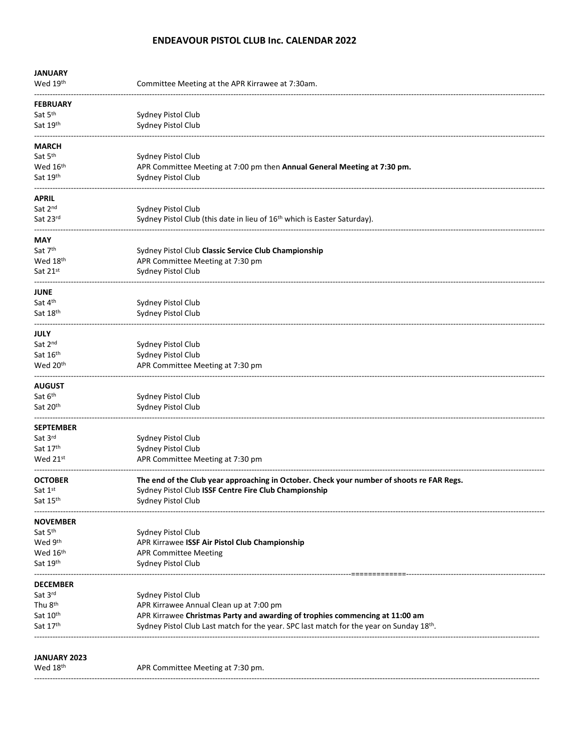# **ENDEAVOUR PISTOL CLUB Inc. CALENDAR 2022**

| <b>JANUARY</b>       |                                                                                                      |
|----------------------|------------------------------------------------------------------------------------------------------|
| Wed 19th             | Committee Meeting at the APR Kirrawee at 7:30am.                                                     |
| <b>FEBRUARY</b>      |                                                                                                      |
| Sat 5 <sup>th</sup>  | Sydney Pistol Club                                                                                   |
| Sat 19th             | Sydney Pistol Club                                                                                   |
| <b>MARCH</b>         |                                                                                                      |
| Sat 5 <sup>th</sup>  | Sydney Pistol Club                                                                                   |
| Wed 16 <sup>th</sup> | APR Committee Meeting at 7:00 pm then Annual General Meeting at 7:30 pm.                             |
| Sat 19th             | Sydney Pistol Club                                                                                   |
| APRIL                |                                                                                                      |
| Sat 2nd              | Sydney Pistol Club                                                                                   |
| Sat 23rd             | Sydney Pistol Club (this date in lieu of 16 <sup>th</sup> which is Easter Saturday).                 |
| MAY                  |                                                                                                      |
| Sat 7th              | Sydney Pistol Club Classic Service Club Championship                                                 |
| Wed 18 <sup>th</sup> | APR Committee Meeting at 7:30 pm                                                                     |
| Sat 21st             | Sydney Pistol Club                                                                                   |
| JUNE                 |                                                                                                      |
| Sat 4 <sup>th</sup>  | Sydney Pistol Club                                                                                   |
| Sat 18 <sup>th</sup> | Sydney Pistol Club                                                                                   |
| JULY                 |                                                                                                      |
| Sat 2 <sup>nd</sup>  | Sydney Pistol Club                                                                                   |
| Sat 16th             | Sydney Pistol Club                                                                                   |
| Wed 20 <sup>th</sup> | APR Committee Meeting at 7:30 pm                                                                     |
| <b>AUGUST</b>        |                                                                                                      |
| Sat 6 <sup>th</sup>  | Sydney Pistol Club                                                                                   |
| Sat 20th             | Sydney Pistol Club                                                                                   |
| <b>SEPTEMBER</b>     |                                                                                                      |
| Sat 3rd              | Sydney Pistol Club                                                                                   |
| Sat 17th             | Sydney Pistol Club                                                                                   |
| Wed 21st             | APR Committee Meeting at 7:30 pm                                                                     |
| <b>OCTOBER</b>       | The end of the Club year approaching in October. Check your number of shoots re FAR Regs.            |
| Sat 1st              | Sydney Pistol Club ISSF Centre Fire Club Championship                                                |
| Sat 15th             | Sydney Pistol Club                                                                                   |
| <b>NOVEMBER</b>      |                                                                                                      |
| Sat 5 <sup>th</sup>  | Sydney Pistol Club                                                                                   |
| Wed 9 <sup>th</sup>  | APR Kirrawee ISSF Air Pistol Club Championship                                                       |
| Wed 16 <sup>th</sup> | <b>APR Committee Meeting</b>                                                                         |
| Sat 19th             | Sydney Pistol Club                                                                                   |
| <b>DECEMBER</b>      |                                                                                                      |
| Sat 3rd              | Sydney Pistol Club                                                                                   |
| Thu 8 <sup>th</sup>  | APR Kirrawee Annual Clean up at 7:00 pm                                                              |
| Sat 10th             | APR Kirrawee Christmas Party and awarding of trophies commencing at 11:00 am                         |
| Sat 17th             | Sydney Pistol Club Last match for the year. SPC last match for the year on Sunday 18 <sup>th</sup> . |
|                      |                                                                                                      |
| <b>JANUARY 2023</b>  |                                                                                                      |
| Wed 18th             | APR Committee Meeting at 7:30 pm.                                                                    |